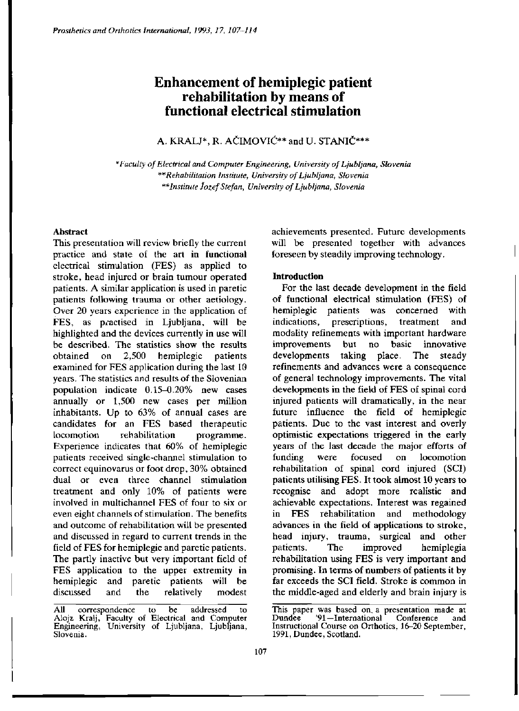# **Enhancement of hemiplegic patient rehabilitation by means of functional electrical stimulation**

A. KRALJ\*, R. AČIMOVIĆ\*\* and U. STANIČ\*\*\*

*\*Faculty of Electrical and Computer Engineering, University of Ljubljana, Slovenia \*\*Rehabilitation Institute, University of Ljubljana, Slovenia \*\*Institute Jozef Stefan, University of Ljubljana, Slovenia* 

### **Abstract**

This presentation will review briefly the current practice and state of the art in functional electrical stimulation (FES) as applied to stroke, head injured or brain tumour operated patients. A similar application is used in paretic patients following trauma or other aetiology. Over 20 years experience in the application of FES, as practised in Ljubljana, will be highlighted and the devices currently in use will be described. The statistics show the results obtained on 2,500 hemiplegic patients examined for FES application during the last 10 years. The statistics and results of the Slovenian population indicate 0.15-0.20% new cases annually or 1,500 new cases per million inhabitants. Up to 63% of annual cases are candidates for an FES based therapeutic locomotion rehabilitation programme. Experience indicates that 60% of hemiplegic patients received single-channel stimulation to correct equinovarus or foot drop, 30% obtained dual or even three channel stimulation treatment and only 10% of patients were involved in multichannel FES of four to six or even eight channels of stimulation. The benefits and outcome of rehabilitation will be presented and discussed in regard to current trends in the field of FES for hemiplegic and paretic patients. The partly inactive but very important field of File partly inactive out very important field of he application to the upper extremity in hemiplegic and paretic patients will be<br>discussed and the relatively modest achievements presented. Future developments will be presented together with advances foreseen by steadily improving technology.

## **Introduction**

For the last decade development in the field of functional electrical stimulation (FES) of hemiplegic patients was concerned with indications, prescriptions, treatment and modality refinements with important hardware improvements but no basic innovative developments taking place. The steady refinements and advances were a consequence of general technology improvements. The vital developments in the field of FES of spinal cord injured patients will dramatically, in the near future influence the field of hemiplegic patients. Due to the vast interest and overly optimistic expectations triggered in the early years of the last decade the major efforts of funding were focused on locomotion rehabilitation of spinal cord injured (SCI) patients utilising FES . It took almost 10 years to recognise and adopt more realistic and achievable expectations. Interest was regained in FES rehabilitation and methodology advances in the field of applications to stroke, head injury, trauma, surgical and other patients. The improved hemiplegia patients. The improved hemiplegia<br>rehabilitation using FES is very important and promising. In terms of numbers of patients it by far exceeds the SCI field. Stroke is common in the middle-aged and elderly and brain injury is

All correspondence to be addressed to Alojz Kralj, Faculty of Electrical and Computer Engineering, University of Ljubljana, Ljubljana, Slovenia.

This paper was based on a presentation made at<br>Dundee '91-International' Conference and '91—International Conference and Instructional Course on Orthotics, 16-20 September, 1991, Dundee, Scotland.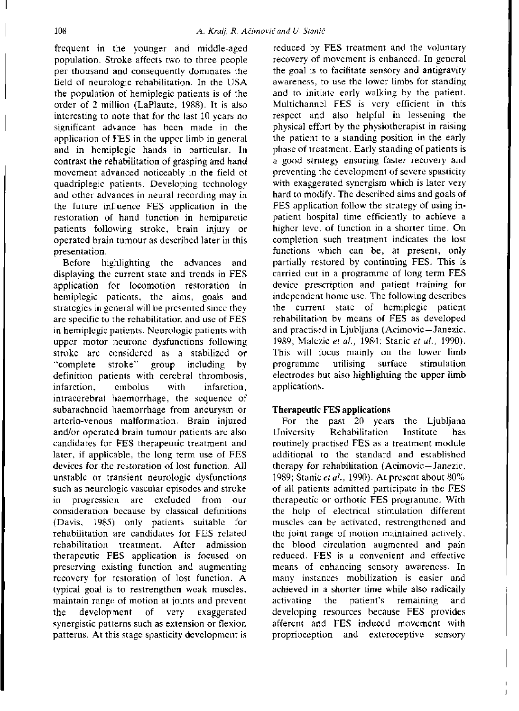frequent in the younger and middle-aged population. Stroke affects two to three people per thousand and consequently dominates the field of neurologic rehabilitation. In the USA the population of hemiplegic patients is of the order of 2 million (LaPlaute, 1988). It is also interesting to note that for the last 10 years no significant advance has been made in the application of FES in the upper limb in general and in hemiplegic hands in particular. In contrast the rehabilitation of grasping and hand movement advanced noticeably in the field of quadriplegic patients. Developing technology and other advances in neural recording may in the future influence FES application in the restoration of hand function in hemiparetic patients following stroke, brain injury or operated brain tumour as described later in this presentation.

Before highlighting the advances and displaying the current state and trends in FES application for locomotion restoration in hemiplegic patients, the aims, goals and strategies in general will be presented since they are specific to the rehabilitation and use of FES in hemiplegic patients. Neurologic patients with upper motor neurone dysfunctions following stroke are considered as a stabilized or "complete stroke" group including by definition patients with cerebral thrombosis, infarction, embolus with infarction, intracerebral haemorrhage, the sequence of subarachnoid haemorrhage from aneurysm or arterio-venous malformation. Brain injured and/or operated brain tumour patients are also candidates for FES therapeutic treatment and later, if applicable, the long term use of FES devices for the restoration of lost function. All unstable or transient neurologic dysfunctions such as neurologic vascular episodes and stroke in progression are excluded from our consideration because by classical definitions (Davis, 1985) only patients suitable for rehabilitation are candidates for FES related rehabilitation treatment. After admission therapeutic FES application is focused on preserving existing function and augmenting recovery for restoration of lost function. A typical goal is to restrengthen weak muscles, rypical goal is to restring their mean inascres, the development of very example the development of very example that the very example that the very example. ine development or very exaggerated synergistic patterns such as extension of nexton

reduced by FES treatment and the voluntary recovery of movement is enhanced. In general the goal is to facilitate sensory and antigravity awareness, to use the lower limbs for standing and to initiate early walking by the patient. Multichannel FES is very efficient in this respect and also helpful in lessening the physical effort by the physiotherapist in raising the patient to a standing position in the early phase of treatment. Early standing of patients is a good strategy ensuring faster recovery and preventing the development of severe spasticity with exaggerated synergism which is later very hard to modify. The described aims and goals of FES application follow the strategy of using inpatient hospital time efficiently to achieve a higher level of function in a shorter time. On completion such treatment indicates the lost functions which can be, at present, only partially restored by continuing FES. This is carried out in a programme of long term FES device prescription and patient training for independent home use. The following describes the current state of hemiplegic patient rehabilitation by means of FES as developed and practised in Ljubljana (Acimovic-Janezic, 1989; Malezic et al., 1984; Stanic et al., 1990). This will focus mainly on the lower limb programme utilising surface stimulation electrodes but also highlighting the upper limb applications.

# Therapeutic FES applications

For the past 20 years the Ljubljana University Rehabilitation Institute has routinely practised FES as a treatment module additional to the standard and established therapy for rehabilitation (Acimovic—Janezic. 1989; Stanic *et al.,* 1990). At present about 80% of all patients admitted participate in the FES therapeutic or orthotic FES programme. With the help of electrical stimulation different muscles can be activated, restrengthened and the joint range of motion maintained actively, the blood circulation augmented and pain reduced. FES is a convenient and effective means of enhancing sensory awareness. In many instances mobilization is easier and achieved in a shorter time while also radically activating the patient's remaining and developing resources because FES provides afferent and FES induced movement with proprioception and exteroceptive sensory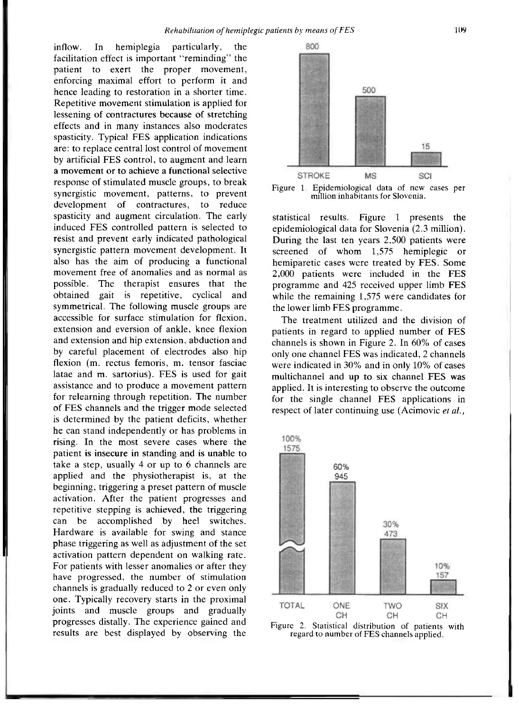inflow. In hemiplegia particularly, the facilitation effect is important "reminding" the patient to exert the proper movement, enforcing maximal effort to perform it and hence leading to restoration in a shorter time. Repetitive movement stimulation is applied for lessening of contractures because of stretching effects and in many instances also moderates spasticity. Typical FES application indications are: to replace central lost control of movement by artificial FES control, to augment and learn a movement or to achieve a functional selective response of stimulated muscle groups, to break synergistic movement, patterns, to prevent development of contractures, to reduce spasticity and augment circulation. The early induced FES controlled pattern is selected to resist and prevent early indicated pathological synergistic pattern movement development. It also has the aim of producing a functional movement free of anomalies and as normal as possible. The therapist ensures that the obtained gait is repetitive, cyclical and symmetrical. The following muscle groups are accessible for surface stimulation for flexion, extension and eversion of ankle, knee flexion and extension and hip extension, abduction and  $\mathbf{b}$  careful placement of electronic also hipselful placement of  $\mathbf{c}$  hipselful placement of  $\mathbf{c}$  $f(x)$  careful placement of electrones also mp. flexion (m. rectus femoris, m. tensor fasciae latae and m. sartorius). FES is used for gait assistance and to produce a movement pattern for relearning through repetition. The number of FES channels and the trigger mode selected is determined by the patient deficits, whether he can stand independently or has problems in rising. In the most severe cases where the patient is insecure in standing and is unable to take a step, usually 4 or up to 6 channels are applied and the physiotherapist is, at the beginning, triggering a preset pattern of muscle activation. After the patient progresses and repetitive stepping is achieved, the triggering. can be accomplished by heel switches. Hardware is available for swing and stance phase triggering as well as adjustment of the set activation pattern dependent on walking rate. For patients with lesser anomalies or after they have progressed, the number of stimulation channels is gradually reduced to 2 or even only one. Typically recovery starts in the proximal joints and muscle groups and gradually progresses distally. The experience gained and results are best displayed by observing the



Figure 1. Epidemiological data of new cases per million inhabitants for Slovenia.

statistical results. Figure 1 presents the epidemiological data for Slovenia (2.3 million). During the last ten years 2,500 patients were screened of whom 1,575 hemiplegic or hemiparetic cases were treated by FES. Some 2,000 patients were included in the FES programme and 425 received upper limb FES while the remaining 1,575 were candidates for the lower limb FES programme .

The treatment utilized and the division of patients in regard to applied number of FES channels is shown in Figure 2. In 60% of cases only one channel FES was indicated, 2 channels were indicated in 30% and in only 10% of cases multichannel and up to six channel FES was applied. It is interesting to observe the outcome for the single channel FES applications in respect of later continuing use (Acimovic *et al.,* 



Figure 2. Statistical distribution of patients with regard to number of FES channels applied.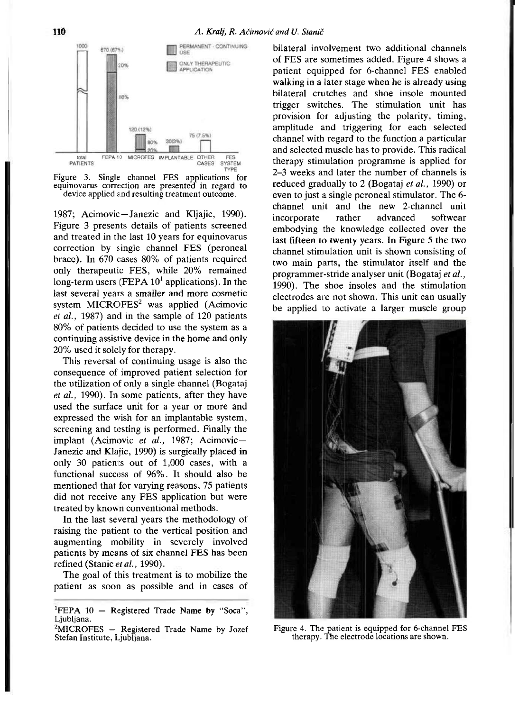

Figure 3. Single channel FES applications for equinovarus correction are presented in regard to device applied and resulting treatment outcome.

1987; Acimovic—Janezic and Kljajic, 1990). Figure 3 presents details of patients screened and treated in the last 10 years for equinovarus correction by single channel FES (peroneal brace). In 670 cases 80% of patients required only therapeutic FES, while 20% remained long-term users (FEPA  $10<sup>1</sup>$  applications). In the last several years a smaller and more cosmetic system MICROFES<sup>2</sup> was applied (Acimovic *et al.,* 1987) and in the sample of 120 patients 80% of patients decided to use the system as a continuing assistive device in the home and only 20% used it solely for therapy.

This reversal of continuing usage is also the consequence of improved patient selection for the utilization of only a single channel (Bogataj *et al.,* 1990). In some patients, after they have used the surface unit for a year or more and expressed the wish for an implantable system, screening and testing is performed. Finally the implant (Acimovic e*t al.,* 1987; Acimovic— Janezic and Klajic, 1990) is surgically placed in only 30 patients out of 1,000 cases, with a functional success of 96%. It should also be mentioned that for varying reasons, 75 patients did not receive any FES application but were treated by known conventional methods.

In the last several years the methodology of raising the patient to the vertical position and augmenting mobility in severely involved patients by means of six channel FES has been refined (Stanic *et al.,* 1990).

The goal of this treatment is to mobilize the patient as soon as possible and in cases of bilateral involvement two additional channels of FES are sometimes added. Figure 4 shows a patient equipped for 6-channel FES enabled walking in a later stage when he is already using bilateral crutches and shoe insole mounted trigger switches. The stimulation unit has provision for adjusting the polarity, timing, amplitude and triggering for each selected channel with regard to the function a particular and selected muscle has to provide. This radical therapy stimulation programme is applied for 2-3 weeks and later the number of channels is reduced gradually to 2 (Bogataj *et al.,* 1990) or even to just a single peroneal stimulator. The 6 channel unit and the new 2-channel unit incorporate rather advanced softwear embodying the knowledge collected over the last fifteen to twenty years. In Figure 5 the two channel stimulation unit is shown consisting of two main parts, the stimulator itself and the programmer-stride analyser unit (Bogataj *et al.,*  1990). The shoe insoles and the stimulation electrodes are not shown. This unit can usually be applied to activate a larger muscle group



Figure 4. The patient is equipped for 6-channel FES therapy. The electrode locations are shown.

<sup>&</sup>lt;sup>1</sup>FEPA  $10 -$  Registered Trade Name by "Soca", Ljubljana.

 $2$ MICROFES - Registered Trade Name by Jozef Stefan Institute, Ljubljana.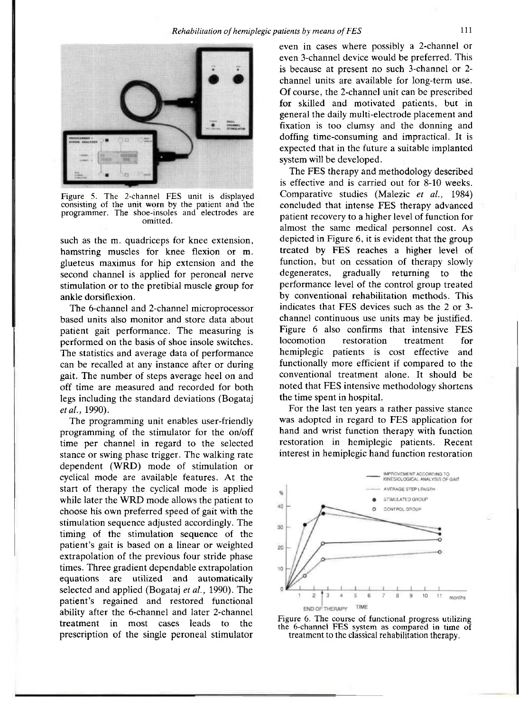

Figure 5. The 2-channel FES unit is displayed consisting of the unit worn by the patient and the programmer. The shoe-insoles and electrodes are omitted.

such as the m. quadriceps for knee extension, hamstring muscles for knee flexion or m. glueteus maximus for hip extension and the second channel is applied for peroneal nerve stimulation or to the pretibial muscle group for ankle dorsiflexion.

The 6-channel and 2-channel microprocessor based units also monitor and store data about patient gait performance. The measuring is performed on the basis of shoe insole switches. The statistics and average data of performance can be recalled at any instance after or during gait. The number of steps average heel on and off time are measured and recorded for both legs including the standard deviations (Bogataj *et al.,* 1990).

The programming unit enables user-friendly programming of the stimulator for the on/off time per channel in regard to the selected stance or swing phase trigger. The walking rate dependent (WRD) mode of stimulation or cyclical mode are available features. At the start of therapy the cyclical mode is applied while later the WRD mode allows the patient to choose his own preferred speed of gait with the stimulation sequence adjusted accordingly. The timing of the stimulation sequence of the patient's gait is based on a linear or weighted extrapolation of the previous four stride phase times. Three gradient dependable extrapolation equations are utilized and automatically selected and applied (Bogataj e*t al.*, 1990). The patient's regained and restored functional ability after the 6-channel and later 2-channel treatment in most cases leads to the prescription of the single peroneal stimulator even in cases where possibly a 2-channel or even 3-channel device would be preferred. This is because at present no such 3-channel or 2 channel units are available for long-term use. Of course, the 2-channel unit can be prescribed for skilled and motivated patients, but in general the daily multi-electrode placement and fixation is too clumsy and the donning and doffing time-consuming and impractical. It is expected that in the future a suitable implanted system will be developed.

The FES therapy and methodology described is effective and is carried out for 8-10 weeks. Comparative studies (Malezic *et al.,* 1984) concluded that intense FES therapy advanced patient recovery to a higher level of function for almost the same medical personnel cost. As depicted in Figure 6, it is evident that the group treated by FES reaches a higher level of function, but on cessation of therapy slowly degenerates, gradually returning to the performance level of the control group treated by conventional rehabilitation methods. This indicates that FES devices such as the 2 or 3 channel continuous use units may be justified. Figure 6 also confirms that intensive FES locomotion restoration treatment for hemiplegic patients is cost effective and functionally more efficient if compared to the conventional treatment alone. It should be noted that FES intensive methodology shortens the time spent in hospital.

For the last ten years a rather passive stance was adopted in regard to FES application for hand and wrist function therapy with function restoration in hemiplegic patients. Recent interest in hemiplegic hand function restoration



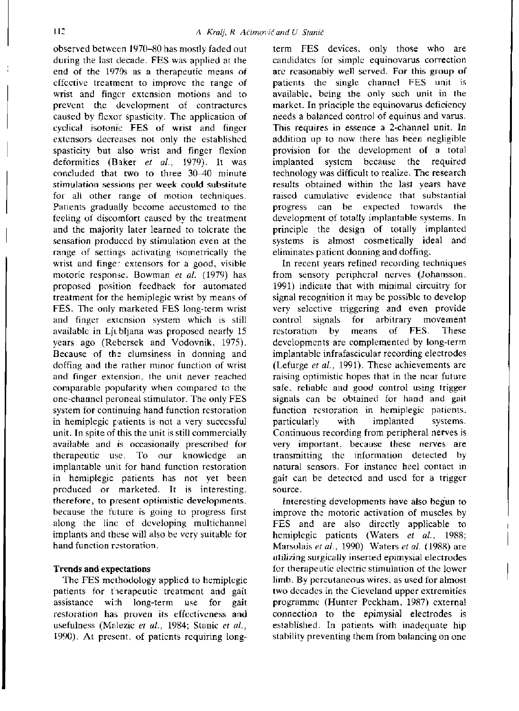observed between 1970-80 has mostly faded out during the last decade. FES was applied at the end of the 1970s as a therapeutic means of effective treatment to improve the range of wrist and finger extension motions and to prevent the development of contractures caused by flexor spasticity. The application of cyclical isotonic FES of wrist and finger extensors decreases not only the established spasticity but also wrist and finger flexion deformities (Baker *et al.,* 1979). It was concluded that two to three 30-40 minute stimulation sessions per week could substitute for all other range of motion techniques. Patients gradually become accustomed to the feeling of discomfort caused by the treatment and the majority later learned to tolerate the sensation produced by stimulation even at the range of settings activating isometrically the wrist and finger extensors for a good, visible motoric response. Bowman *et al.* (1979) has proposed position feedback for automated treatment for the hemiplegic wrist by means of FES. The only marketed FES long-term wrist and finger extension system which is still available in Ljubljana was proposed nearly 15 years ago (Rebersek and Vodovnik, 1975). Because of the clumsiness in donning and  $\frac{d}{dt}$  and  $\frac{d}{dt}$  and  $\frac{d}{dt}$  municipal minor function of writing abiling and the rather minor runction of wirst and finger extension, the unit never reached comparable popularity when compared to the one-channel peroneal stimulator. The only FES system for continuing hand function restoration in hemiplegic patients is not a very successful unit. In spite of this the unit is still commercially available and is occasionally prescribed for therapeutic use. To our knowledge an implantable unit for hand function restoration in hemiplegic patients has not yet been produced or marketed. It is interesting, therefore, to present optimistic developments, because the future is going to progress first along the line of developing multichannel implants and these will also be very suitable for hand function restoration.

# **Trends and expectations**

The FES methodology applied to hemiplegic patients for therapeutic treatment and gait assistance with long-term use for gait restoration has proven its effectiveness and usefulness (Malezic *et al.,* 1984; Stanic e*t al.,*  1990). At present, of patients requiring long-

term FES devices, only those who are candidates for simple equinovarus correction are reasonably well served. For this group of patients the single channel FES unit is available, being the only such unit in the market. In principle the equinovarus deficiency needs a balanced control of equinus and varus. This requires in essence a 2-channel unit. In addition up to now there has been negligible provision for the development of a total implanted system because the required technology was difficult to realize. The research results obtained within the last years have raised cumulative evidence that substantial progress can be expected towards the development of totally implantable systems. In principle the design of totally implanted systems is almost cosmetically ideal and eliminates patient donning and doffing.

In recent years refined recording techniques from sensory peripheral nerves (Johansson, 1991) indicate that with minimal circuitry for signal recognition it may be possible to develop very selective triggering and even provide control signals for arbitrary movement restoration by means of FES. These developments are complemented by long-term implantable infrafascicular recording electrodes (Lefurge *et al.,* 1991). These achievements are raising optimistic hopes that in the near future safe, reliable and good control using trigger signals can be obtained for hand and gait function restoration in hemiplegic patients, particularly with implanted systems. Continuous recording from peripheral nerves is very important, because these nerves are transmitting the information detected by natural sensors. For instance heel contact in gait can be detected and used for a trigger source.

Interesting developments have also begun to improve the motoric activation of muscles by FES and are also directly applicable to hemiplegic patients (Waters *et al.,* 1988; Marsolais *et al.,* 1990) Waters *et al.* (1988) are utilizing surgically inserted epimysial electrodes for therape utic electric stimulation of the lower limb. By percutaneous wires, as used for almost two decades in the Cleveland upper extremities programme (Hunter Peckham, 1987) external connection to the epimysial electrodes is established. In patients with inadequate hip stability preventing them from balancing on one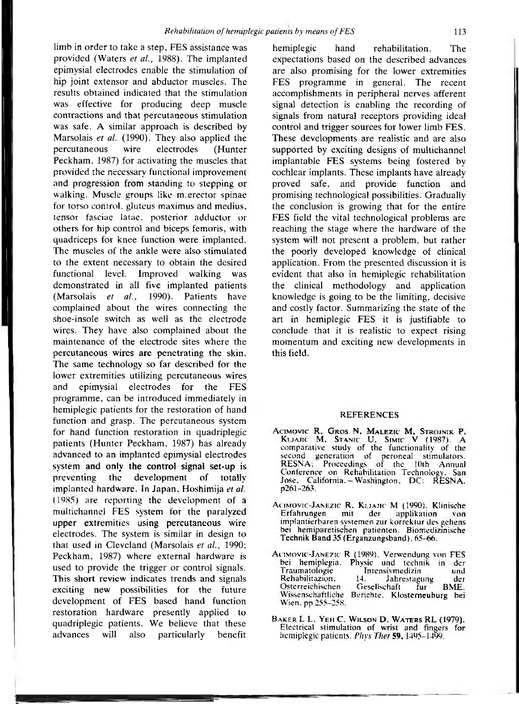limb in order to take a step, FES assistance was provided (Waters e*t al.,* 1988). The implanted epimysial electrodes enable the stimulation of hip joint extensor and abductor muscles. The results obtained indicated that the stimulation was effective for producing deep muscle contractions and that percutaneous stimulation was safe. A similar approach is described by Marsolais *et al.* (1990). They also applied the percutaneous wire electrodes (Hunter Peckham, 1987) for activating the muscles that provided the necessary functional improvement and progression from standing to stepping or walking. Muscle groups like m. erector spinae for torso control, gluteus maximus and medius, tensor fasciae latae, posterior adductor or others for hip control and biceps femoris, with quadriceps for knee function were implanted. The muscles of the ankle were also stimulated to the extent necessary to obtain the desired functional level. Improved walking was demonstrated in all five implanted patients (Marsolais *et al.,* 1990). Patients have complained about the wires connecting the complained about the wires connecting the  $\frac{1}{2}$  is  $\frac{1}{2}$  as well as the electrone wires. They have also complained about the maintenance of the electrode sites where the percutaneous wires are penetrating the skin. The same technology so far described for the lower extremities utilizing percutaneous wires and epimysial electrodes for the FES programme, can be introduced immediately in hemiplegic patients for the restoration of hand function and grasp. The percutaneous system for hand function restoration in quadriplegic patients (Hunter Peckham, 1987) has already advanced to an implanted epimysial electrodes system and only the control signal set-up is preventing the development of totally implanted hardware. In Japan, Hoshimija et al.  $(1985)$  are reporting the development of a multichannel FES system for the paralyzed upper extremities using percutaneous wire electrodes. The system is similar in design to that used in Cleveland (Marsolais et al., 1990; Peckham, 1987) where external hardware is used to provide the trigger or control signals. This short review indicates trends and signals exciting new possibilities for the future development of FES based hand function restoration hardware presently applied to quadriplegic patients. We believe that these advances will also particularly benefit

hemiplegic hand rehabilitation. The expectations based on the described advances are also promising for the lower extremities FES programme in general. The recent accomplishments in peripheral nerves afferent signal detection is enabling the recording of signals from natural receptors providing ideal control and trigger sources for lower limb FES. These developments are realistic and are also supported by exciting designs of multichannel implantable FES systems being fostered by cochlear implants. These implants have already proved safe, and provide function and promising technological possibilities. Gradually the conclusion is growing that for the entire FES field the vital technological problems are reaching the stage where the hardware of the system will not present a problem, but rather the poorly developed knowledge of clinical application. From the presented discussion it is evident that also in hemiplegic rehabilitation the clinical methodology and application knowledge is going to be the limiting, decisive and costly factor. Summarizing the state of the art in hemiplegic FES it is justifiable to conclude that it is realistic to expect rising momentum and exciting new developments in this field.

#### REFERENCES

- **ACIMOVI C** R, **GRO S** N, **MALEZI C M, STROJNI K** P, **KUAJI C M, STANI C U, SIMIC V** (1987). A comparative study of the functionality of the second generation of peroneal stimulators. RESNA; Proceedings of the 10th Annual Conference on Rehabilitation Technology, San Jose, California. - Washington. DC: RESNA. p261-263.
- Actmovic-Janezic R, Kijajic M (1990). Klinische<br>Erfahrungen mit der applikation von Erfahrungen mit der applikation von implantierbaren s **ystemen** zur korrektur des gehens bei hemiparetischen patienten. Biomedizinische Technik Band 35 (Erganzungsband). 65-66.
- ACIMOVIC-JANEZIC R (1989). Verwendung von FES bei hemiplegia. Physic und technik in der Traumatologie Intensivmedizin<br>Rehabilitazion, 14. Jahrestag Rehabilitazion. 14. Jahrestagung der Osterreichischen Gesellschaft fur BME. Wissenschaftliche Berichte. Klosterneuhure bei Wien, pp 255-258.
- **BAKE <sup>R</sup>** L L, **YEH** C, **WILSO N D, WATER <sup>S</sup>** RL (1979). Electrical **Stimulation** of wrist and fingers for **hemiplegic** patients. *Phys The*r **59,**1495-1499.